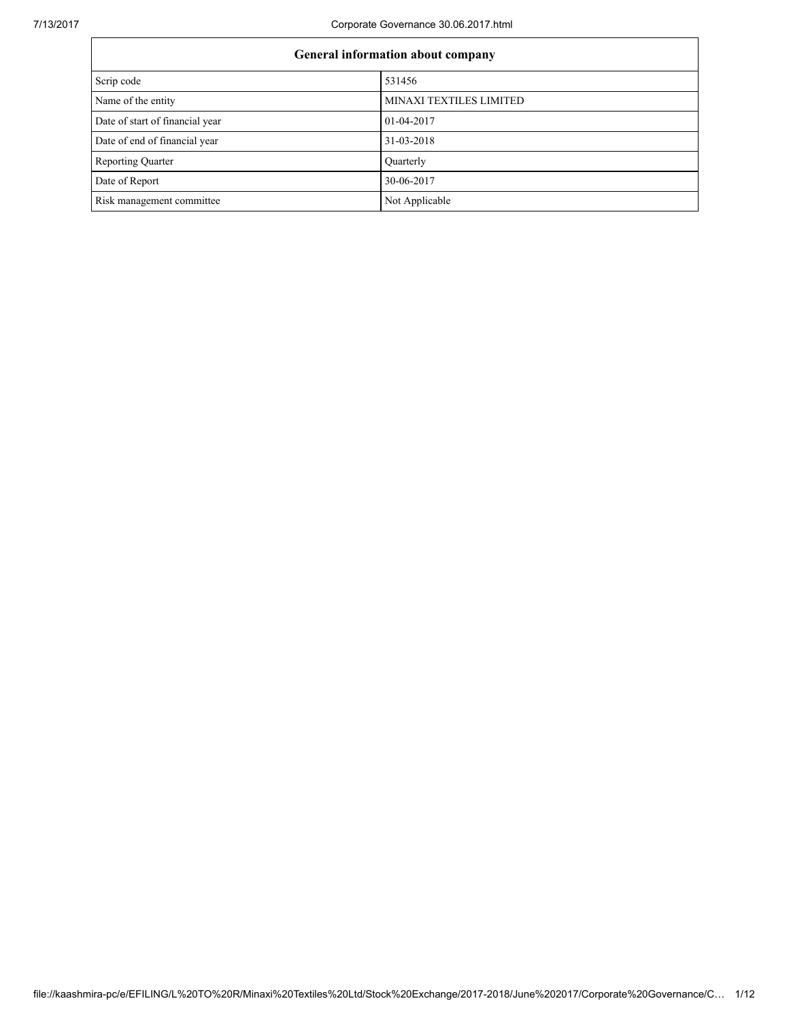| General information about company |                         |  |  |  |
|-----------------------------------|-------------------------|--|--|--|
| Scrip code                        | 531456                  |  |  |  |
| Name of the entity                | MINAXI TEXTILES LIMITED |  |  |  |
| Date of start of financial year   | 01-04-2017              |  |  |  |
| Date of end of financial year     | 31-03-2018              |  |  |  |
| <b>Reporting Quarter</b>          | Quarterly               |  |  |  |
| Date of Report                    | 30-06-2017              |  |  |  |
| Risk management committee         | Not Applicable          |  |  |  |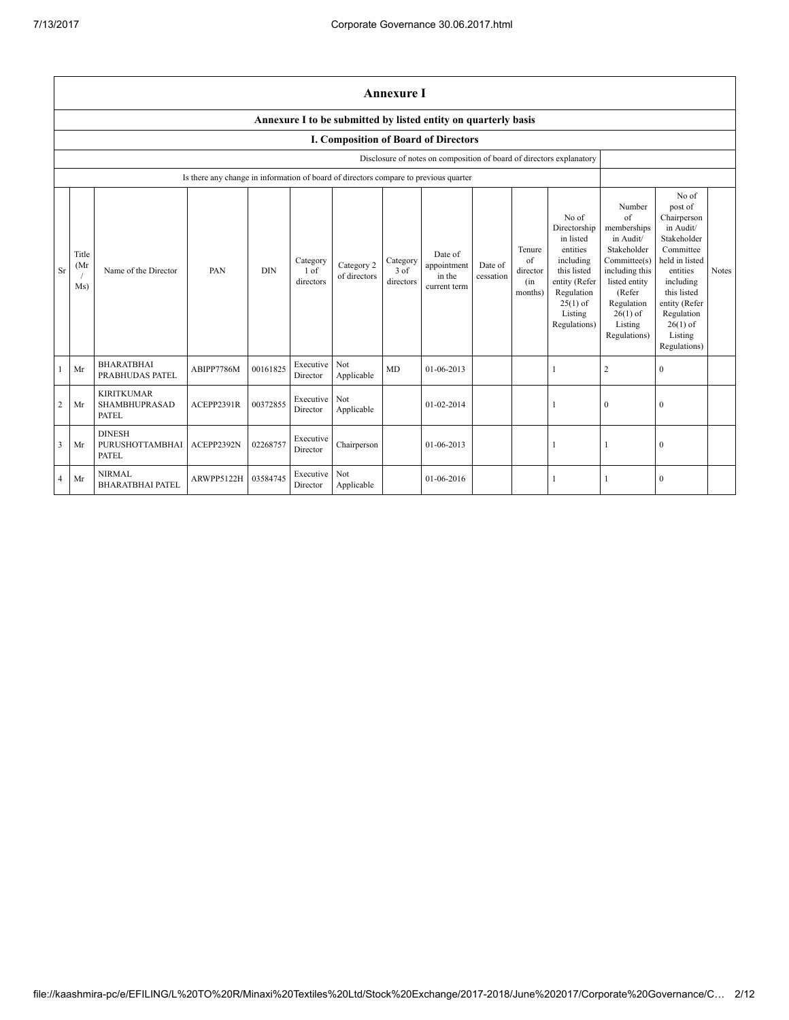|                | <b>Annexure I</b>                                              |                                                    |                                                                                      |            |                               |                            |                               |                                                                      |                      |                                            |                                                                                                                                                    |                                                                                                                                                                             |                                                                                                                                                                                                            |       |
|----------------|----------------------------------------------------------------|----------------------------------------------------|--------------------------------------------------------------------------------------|------------|-------------------------------|----------------------------|-------------------------------|----------------------------------------------------------------------|----------------------|--------------------------------------------|----------------------------------------------------------------------------------------------------------------------------------------------------|-----------------------------------------------------------------------------------------------------------------------------------------------------------------------------|------------------------------------------------------------------------------------------------------------------------------------------------------------------------------------------------------------|-------|
|                | Annexure I to be submitted by listed entity on quarterly basis |                                                    |                                                                                      |            |                               |                            |                               |                                                                      |                      |                                            |                                                                                                                                                    |                                                                                                                                                                             |                                                                                                                                                                                                            |       |
|                | <b>I. Composition of Board of Directors</b>                    |                                                    |                                                                                      |            |                               |                            |                               |                                                                      |                      |                                            |                                                                                                                                                    |                                                                                                                                                                             |                                                                                                                                                                                                            |       |
|                |                                                                |                                                    |                                                                                      |            |                               |                            |                               | Disclosure of notes on composition of board of directors explanatory |                      |                                            |                                                                                                                                                    |                                                                                                                                                                             |                                                                                                                                                                                                            |       |
|                |                                                                |                                                    | Is there any change in information of board of directors compare to previous quarter |            |                               |                            |                               |                                                                      |                      |                                            |                                                                                                                                                    |                                                                                                                                                                             |                                                                                                                                                                                                            |       |
| Sr             | Title<br>(Mr)<br>Ms)                                           | Name of the Director                               | PAN                                                                                  | <b>DIN</b> | Category<br>1 of<br>directors | Category 2<br>of directors | Category<br>3 of<br>directors | Date of<br>appointment<br>in the<br>current term                     | Date of<br>cessation | Tenure<br>of<br>director<br>(in<br>months) | No of<br>Directorship<br>in listed<br>entities<br>including<br>this listed<br>entity (Refer<br>Regulation<br>$25(1)$ of<br>Listing<br>Regulations) | Number<br>of<br>memberships<br>in Audit/<br>Stakeholder<br>Committee(s)<br>including this<br>listed entity<br>(Refer<br>Regulation<br>$26(1)$ of<br>Listing<br>Regulations) | No of<br>post of<br>Chairperson<br>in Audit/<br>Stakeholder<br>Committee<br>held in listed<br>entities<br>including<br>this listed<br>entity (Refer<br>Regulation<br>$26(1)$ of<br>Listing<br>Regulations) | Notes |
|                | Mr                                                             | <b>BHARATBHAI</b><br>PRABHUDAS PATEL               | ABIPP7786M                                                                           | 00161825   | Executive<br>Director         | Not<br>Applicable          | <b>MD</b>                     | 01-06-2013                                                           |                      |                                            |                                                                                                                                                    | $\overline{2}$                                                                                                                                                              | $\Omega$                                                                                                                                                                                                   |       |
| $\overline{c}$ | Mr                                                             | <b>KIRITKUMAR</b><br>SHAMBHUPRASAD<br><b>PATEL</b> | ACEPP2391R                                                                           | 00372855   | Executive<br>Director         | Not<br>Applicable          |                               | 01-02-2014                                                           |                      |                                            |                                                                                                                                                    | $\theta$                                                                                                                                                                    | $\Omega$                                                                                                                                                                                                   |       |
| 3              | Mr                                                             | <b>DINESH</b><br>PURUSHOTTAMBHAI<br>PATEL          | ACEPP2392N                                                                           | 02268757   | Executive<br>Director         | Chairperson                |                               | 01-06-2013                                                           |                      |                                            |                                                                                                                                                    |                                                                                                                                                                             | $\mathbf{0}$                                                                                                                                                                                               |       |
| $\overline{4}$ | Mr                                                             | <b>NIRMAL</b><br><b>BHARATBHAI PATEL</b>           | ARWPP5122H                                                                           | 03584745   | Executive<br>Director         | Not<br>Applicable          |                               | 01-06-2016                                                           |                      |                                            |                                                                                                                                                    |                                                                                                                                                                             | $\theta$                                                                                                                                                                                                   |       |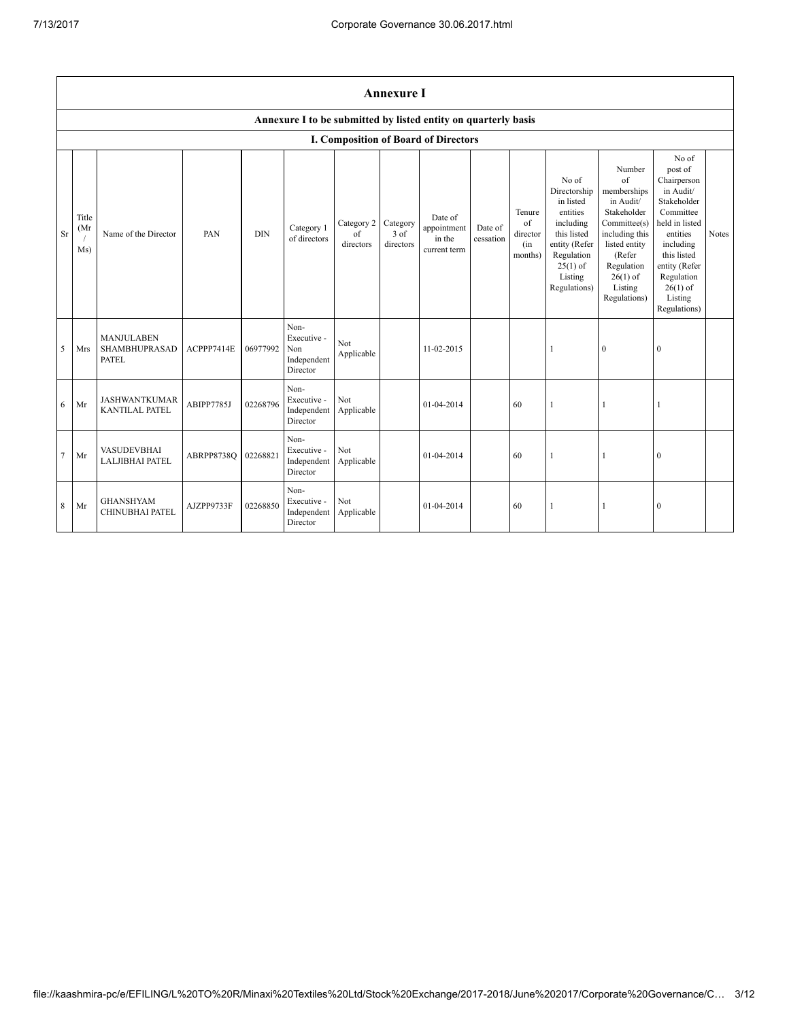|                | <b>Annexure I</b>                                              |                                                    |                     |            |                                                       |                               |                                 |                                                  |                      |                                            |                                                                                                                                                    |                                                                                                                                                                                     |                                                                                                                                                                                                            |              |
|----------------|----------------------------------------------------------------|----------------------------------------------------|---------------------|------------|-------------------------------------------------------|-------------------------------|---------------------------------|--------------------------------------------------|----------------------|--------------------------------------------|----------------------------------------------------------------------------------------------------------------------------------------------------|-------------------------------------------------------------------------------------------------------------------------------------------------------------------------------------|------------------------------------------------------------------------------------------------------------------------------------------------------------------------------------------------------------|--------------|
|                | Annexure I to be submitted by listed entity on quarterly basis |                                                    |                     |            |                                                       |                               |                                 |                                                  |                      |                                            |                                                                                                                                                    |                                                                                                                                                                                     |                                                                                                                                                                                                            |              |
|                |                                                                |                                                    |                     |            |                                                       |                               |                                 | I. Composition of Board of Directors             |                      |                                            |                                                                                                                                                    |                                                                                                                                                                                     |                                                                                                                                                                                                            |              |
| <b>Sr</b>      | Title<br>(Mr)<br>Ms)                                           | Name of the Director                               | PAN                 | <b>DIN</b> | Category 1<br>of directors                            | Category 2<br>of<br>directors | Category<br>$3$ of<br>directors | Date of<br>appointment<br>in the<br>current term | Date of<br>cessation | Tenure<br>of<br>director<br>(in<br>months) | No of<br>Directorship<br>in listed<br>entities<br>including<br>this listed<br>entity (Refer<br>Regulation<br>$25(1)$ of<br>Listing<br>Regulations) | Number<br>$\sigma$ f<br>memberships<br>in Audit/<br>Stakeholder<br>Committee(s)<br>including this<br>listed entity<br>(Refer<br>Regulation<br>$26(1)$ of<br>Listing<br>Regulations) | No of<br>post of<br>Chairperson<br>in Audit/<br>Stakeholder<br>Committee<br>held in listed<br>entities<br>including<br>this listed<br>entity (Refer<br>Regulation<br>$26(1)$ of<br>Listing<br>Regulations) | <b>Notes</b> |
| 5              | Mrs                                                            | <b>MANJULABEN</b><br><b>SHAMBHUPRASAD</b><br>PATEL | ACPPP7414E          | 06977992   | Non-<br>Executive -<br>Non<br>Independent<br>Director | Not<br>Applicable             |                                 | 11-02-2015                                       |                      |                                            | $\mathbf{1}$                                                                                                                                       | $\mathbf{0}$                                                                                                                                                                        | $\mathbf{0}$                                                                                                                                                                                               |              |
| 6              | Mr                                                             | <b>JASHWANTKUMAR</b><br><b>KANTILAL PATEL</b>      | ABIPP7785J          | 02268796   | Non-<br>Executive -<br>Independent<br>Director        | Not<br>Applicable             |                                 | 01-04-2014                                       |                      | 60                                         | $\mathbf{1}$                                                                                                                                       | 1                                                                                                                                                                                   | 1                                                                                                                                                                                                          |              |
| $\overline{7}$ | Mr                                                             | <b>VASUDEVBHAI</b><br><b>LALJIBHAI PATEL</b>       | ABRPP8738O 02268821 |            | Non-<br>Executive -<br>Independent<br>Director        | Not<br>Applicable             |                                 | 01-04-2014                                       |                      | 60                                         | $\mathbf{1}$                                                                                                                                       |                                                                                                                                                                                     | $\mathbf{0}$                                                                                                                                                                                               |              |
| 8              | Mr                                                             | <b>GHANSHYAM</b><br>CHINUBHAI PATEL                | AJZPP9733F          | 02268850   | Non-<br>Executive -<br>Independent<br>Director        | Not<br>Applicable             |                                 | 01-04-2014                                       |                      | 60                                         | 1                                                                                                                                                  | 1                                                                                                                                                                                   | $\mathbf{0}$                                                                                                                                                                                               |              |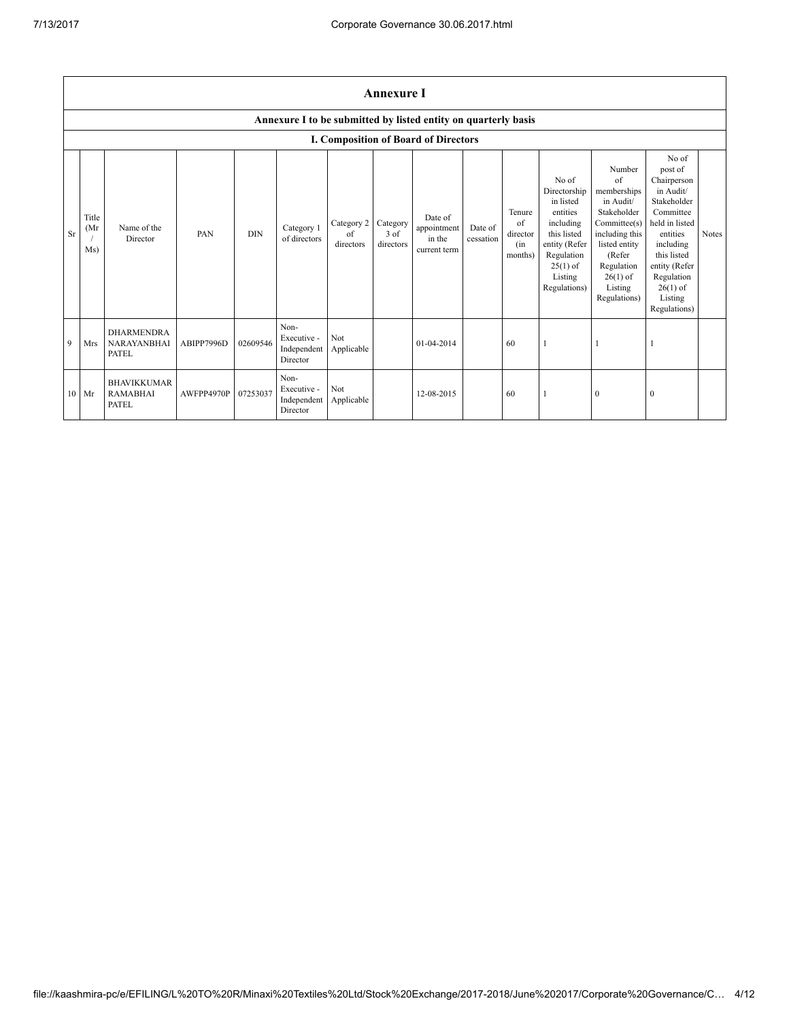|           | <b>Annexure I</b>    |                                                         |            |            |                                                |                               |                               |                                                                |                      |                                                    |                                                                                                                                                    |                                                                                                                                                                                     |                                                                                                                                                                                                            |       |
|-----------|----------------------|---------------------------------------------------------|------------|------------|------------------------------------------------|-------------------------------|-------------------------------|----------------------------------------------------------------|----------------------|----------------------------------------------------|----------------------------------------------------------------------------------------------------------------------------------------------------|-------------------------------------------------------------------------------------------------------------------------------------------------------------------------------------|------------------------------------------------------------------------------------------------------------------------------------------------------------------------------------------------------------|-------|
|           |                      |                                                         |            |            |                                                |                               |                               | Annexure I to be submitted by listed entity on quarterly basis |                      |                                                    |                                                                                                                                                    |                                                                                                                                                                                     |                                                                                                                                                                                                            |       |
|           |                      |                                                         |            |            |                                                |                               |                               | I. Composition of Board of Directors                           |                      |                                                    |                                                                                                                                                    |                                                                                                                                                                                     |                                                                                                                                                                                                            |       |
| <b>Sr</b> | Title<br>(Mr)<br>Ms) | Name of the<br>Director                                 | PAN        | <b>DIN</b> | Category 1<br>of directors                     | Category 2<br>of<br>directors | Category<br>3 of<br>directors | Date of<br>appointment<br>in the<br>current term               | Date of<br>cessation | Tenure<br>$\alpha$ f<br>director<br>(in<br>months) | No of<br>Directorship<br>in listed<br>entities<br>including<br>this listed<br>entity (Refer<br>Regulation<br>$25(1)$ of<br>Listing<br>Regulations) | Number<br>$\alpha$ f<br>memberships<br>in Audit/<br>Stakeholder<br>Committee(s)<br>including this<br>listed entity<br>(Refer<br>Regulation<br>$26(1)$ of<br>Listing<br>Regulations) | No of<br>post of<br>Chairperson<br>in Audit/<br>Stakeholder<br>Committee<br>held in listed<br>entities<br>including<br>this listed<br>entity (Refer<br>Regulation<br>$26(1)$ of<br>Listing<br>Regulations) | Notes |
| 9         | Mrs                  | <b>DHARMENDRA</b><br><b>NARAYANBHAI</b><br><b>PATEL</b> | ABIPP7996D | 02609546   | Non-<br>Executive -<br>Independent<br>Director | Not<br>Applicable             |                               | 01-04-2014                                                     |                      | 60                                                 |                                                                                                                                                    |                                                                                                                                                                                     |                                                                                                                                                                                                            |       |
| 10        | Mr                   | <b>BHAVIKKUMAR</b><br><b>RAMABHAI</b><br><b>PATEL</b>   | AWFPP4970P | 07253037   | Non-<br>Executive -<br>Independent<br>Director | Not<br>Applicable             |                               | 12-08-2015                                                     |                      | 60                                                 |                                                                                                                                                    | $\mathbf{0}$                                                                                                                                                                        | $\Omega$                                                                                                                                                                                                   |       |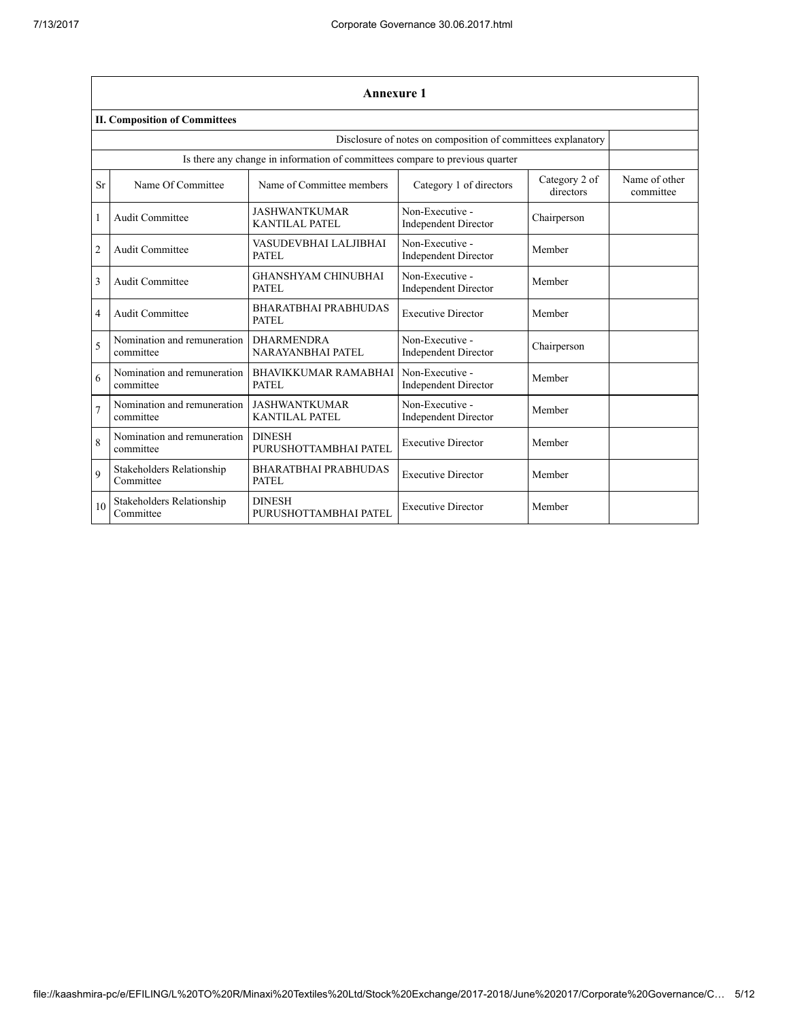|                | <b>Annexure 1</b>                                            |                                                                              |                                                |                            |                            |  |  |  |  |
|----------------|--------------------------------------------------------------|------------------------------------------------------------------------------|------------------------------------------------|----------------------------|----------------------------|--|--|--|--|
|                | <b>II. Composition of Committees</b>                         |                                                                              |                                                |                            |                            |  |  |  |  |
|                | Disclosure of notes on composition of committees explanatory |                                                                              |                                                |                            |                            |  |  |  |  |
|                |                                                              | Is there any change in information of committees compare to previous quarter |                                                |                            |                            |  |  |  |  |
| <b>Sr</b>      | Name Of Committee                                            | Name of Committee members                                                    | Category 1 of directors                        | Category 2 of<br>directors | Name of other<br>committee |  |  |  |  |
| 1              | <b>Audit Committee</b>                                       | <b>JASHWANTKUMAR</b><br>KANTILAL PATEL                                       | Non-Executive -<br><b>Independent Director</b> | Chairperson                |                            |  |  |  |  |
| $\overline{2}$ | <b>Audit Committee</b>                                       | VASUDEVBHAI LALJIBHAI<br>PATEL                                               | Non-Executive -<br><b>Independent Director</b> | Member                     |                            |  |  |  |  |
| 3              | <b>Audit Committee</b>                                       | <b>GHANSHYAM CHINUBHAI</b><br>PATEL                                          | Non-Executive -<br><b>Independent Director</b> | Member                     |                            |  |  |  |  |
| $\overline{4}$ | <b>Audit Committee</b>                                       | <b>BHARATBHAI PRABHUDAS</b><br><b>PATEL</b>                                  | <b>Executive Director</b>                      | Member                     |                            |  |  |  |  |
| 5              | Nomination and remuneration<br>committee                     | <b>DHARMENDRA</b><br><b>NARAYANBHAI PATEL</b>                                | Non-Executive -<br><b>Independent Director</b> | Chairperson                |                            |  |  |  |  |
| 6              | Nomination and remuneration<br>committee                     | <b>BHAVIKKUMAR RAMABHAI</b><br><b>PATEL</b>                                  | Non-Executive -<br><b>Independent Director</b> | Member                     |                            |  |  |  |  |
| 7              | Nomination and remuneration<br>committee                     | <b>JASHWANTKUMAR</b><br>KANTILAL PATEL                                       | Non-Executive -<br><b>Independent Director</b> | Member                     |                            |  |  |  |  |
| 8              | Nomination and remuneration<br>committee                     | <b>DINESH</b><br>PURUSHOTTAMBHAI PATEL                                       | <b>Executive Director</b>                      | Member                     |                            |  |  |  |  |
| $\mathbf Q$    | <b>Stakeholders Relationship</b><br>Committee                | <b>BHARATBHAI PRABHUDAS</b><br>PATEL                                         | <b>Executive Director</b>                      | Member                     |                            |  |  |  |  |
| 10             | Stakeholders Relationship<br>Committee                       | <b>DINESH</b><br>PURUSHOTTAMBHAI PATEL                                       | <b>Executive Director</b>                      | Member                     |                            |  |  |  |  |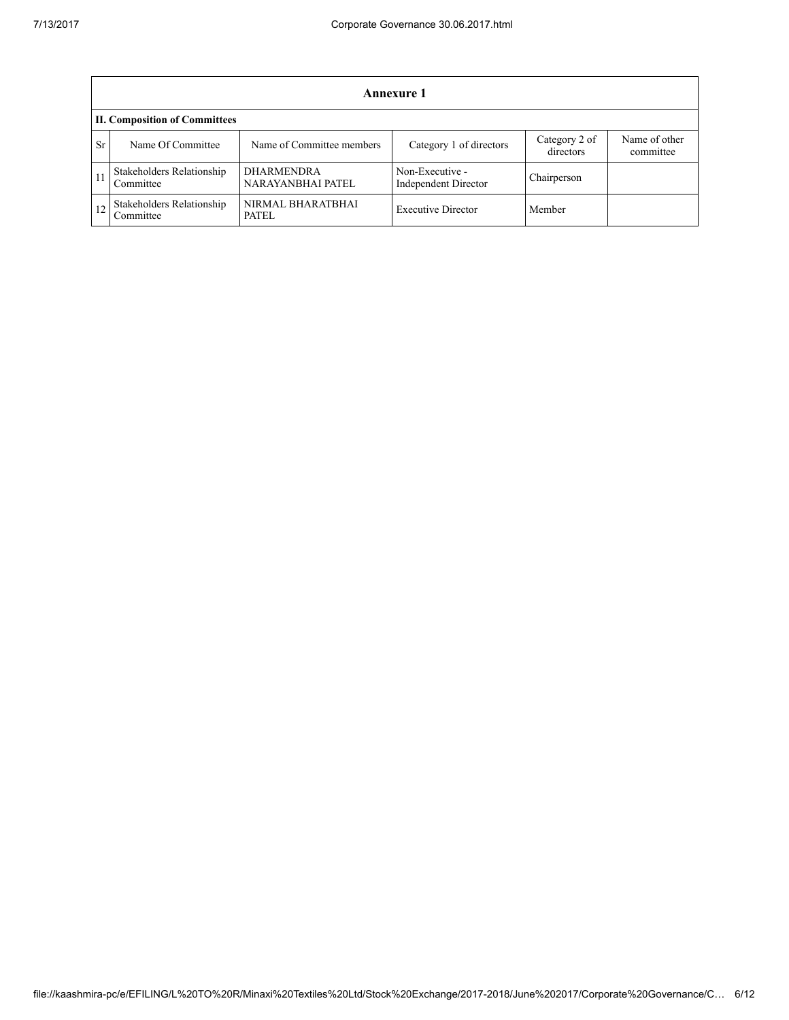|           | Annexure 1                             |                                        |                                                |                            |                            |  |  |  |
|-----------|----------------------------------------|----------------------------------------|------------------------------------------------|----------------------------|----------------------------|--|--|--|
|           | <b>II. Composition of Committees</b>   |                                        |                                                |                            |                            |  |  |  |
| <b>Sr</b> | Name Of Committee                      | Name of Committee members              | Category 1 of directors                        | Category 2 of<br>directors | Name of other<br>committee |  |  |  |
| -11       | Stakeholders Relationship<br>Committee | <b>DHARMENDRA</b><br>NARAYANBHAI PATEL | Non-Executive -<br><b>Independent Director</b> | Chairperson                |                            |  |  |  |
|           | Stakeholders Relationship<br>Committee | NIRMAL BHARATBHAI<br>PATEL.            | <b>Executive Director</b>                      | Member                     |                            |  |  |  |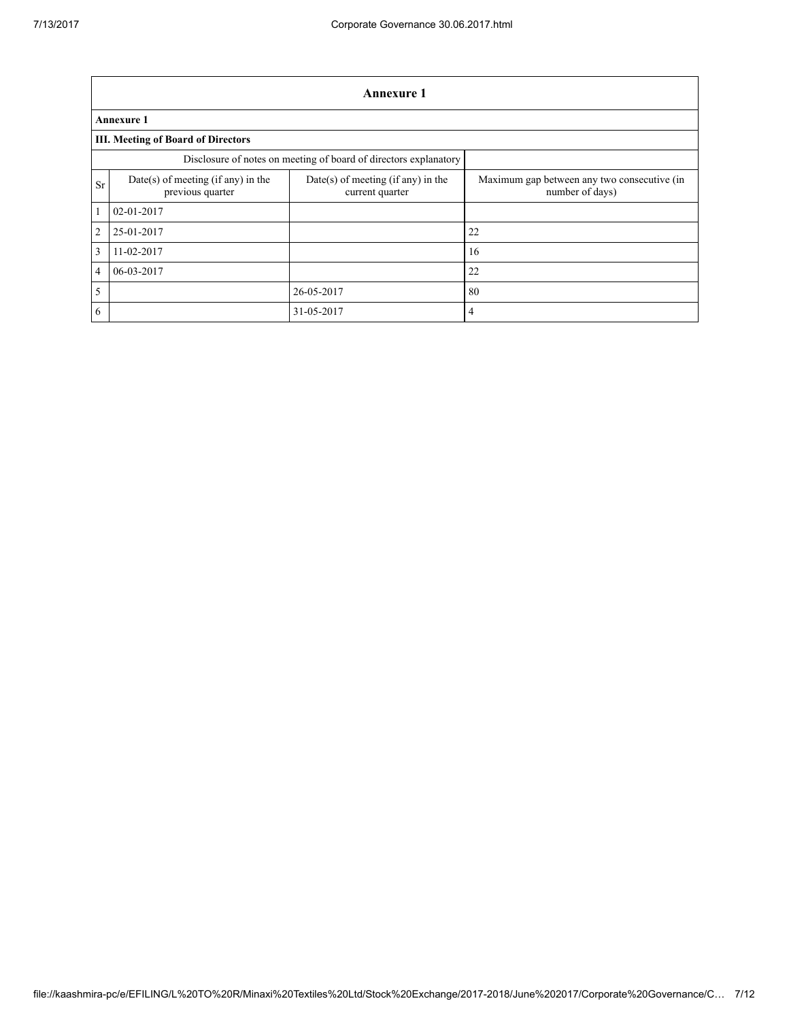|                | <b>Annexure 1</b>                                                |                                                       |                                                                |  |  |  |  |  |
|----------------|------------------------------------------------------------------|-------------------------------------------------------|----------------------------------------------------------------|--|--|--|--|--|
|                | <b>Annexure 1</b>                                                |                                                       |                                                                |  |  |  |  |  |
|                | <b>III. Meeting of Board of Directors</b>                        |                                                       |                                                                |  |  |  |  |  |
|                | Disclosure of notes on meeting of board of directors explanatory |                                                       |                                                                |  |  |  |  |  |
| <b>Sr</b>      | Date(s) of meeting (if any) in the<br>previous quarter           | Date(s) of meeting (if any) in the<br>current quarter | Maximum gap between any two consecutive (in<br>number of days) |  |  |  |  |  |
| 1              | $02 - 01 - 2017$                                                 |                                                       |                                                                |  |  |  |  |  |
| $\overline{c}$ | 25-01-2017                                                       |                                                       | 22                                                             |  |  |  |  |  |
| 3              | 11-02-2017                                                       |                                                       | 16                                                             |  |  |  |  |  |
| 4              | 06-03-2017                                                       |                                                       | 22                                                             |  |  |  |  |  |
| 5              |                                                                  | 26-05-2017                                            | 80                                                             |  |  |  |  |  |
| 6              |                                                                  | 31-05-2017                                            | 4                                                              |  |  |  |  |  |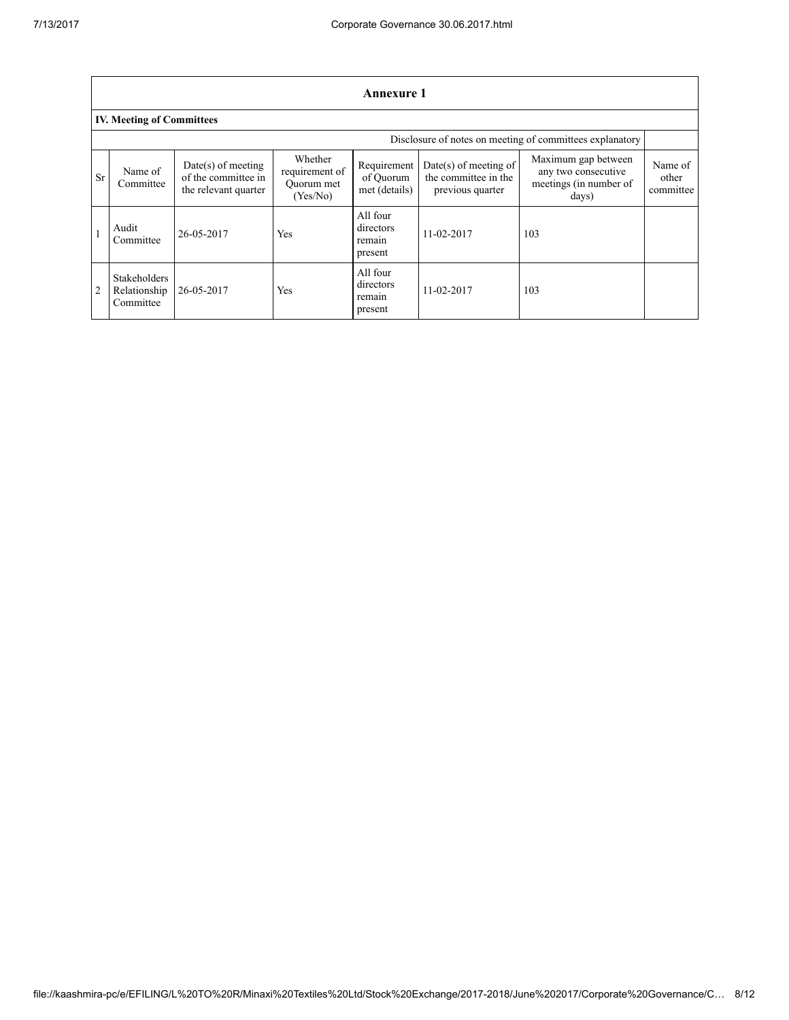|                | <b>Annexure 1</b>                                        |                                                                     |                                                     |                                            |                                                                     |                                                                               |                               |  |  |
|----------------|----------------------------------------------------------|---------------------------------------------------------------------|-----------------------------------------------------|--------------------------------------------|---------------------------------------------------------------------|-------------------------------------------------------------------------------|-------------------------------|--|--|
|                | <b>IV. Meeting of Committees</b>                         |                                                                     |                                                     |                                            |                                                                     |                                                                               |                               |  |  |
|                | Disclosure of notes on meeting of committees explanatory |                                                                     |                                                     |                                            |                                                                     |                                                                               |                               |  |  |
| <b>Sr</b>      | Name of<br>Committee                                     | $Date(s)$ of meeting<br>of the committee in<br>the relevant quarter | Whether<br>requirement of<br>Ouorum met<br>(Yes/No) | Requirement<br>of Ouorum<br>met (details)  | $Date(s)$ of meeting of<br>the committee in the<br>previous quarter | Maximum gap between<br>any two consecutive<br>meetings (in number of<br>days) | Name of<br>other<br>committee |  |  |
|                | Audit<br>Committee                                       | 26-05-2017                                                          | Yes                                                 | All four<br>directors<br>remain<br>present | 11-02-2017                                                          | 103                                                                           |                               |  |  |
| $\overline{2}$ | <b>Stakeholders</b><br>Relationship<br>Committee         | 26-05-2017                                                          | Yes                                                 | All four<br>directors<br>remain<br>present | 11-02-2017                                                          | 103                                                                           |                               |  |  |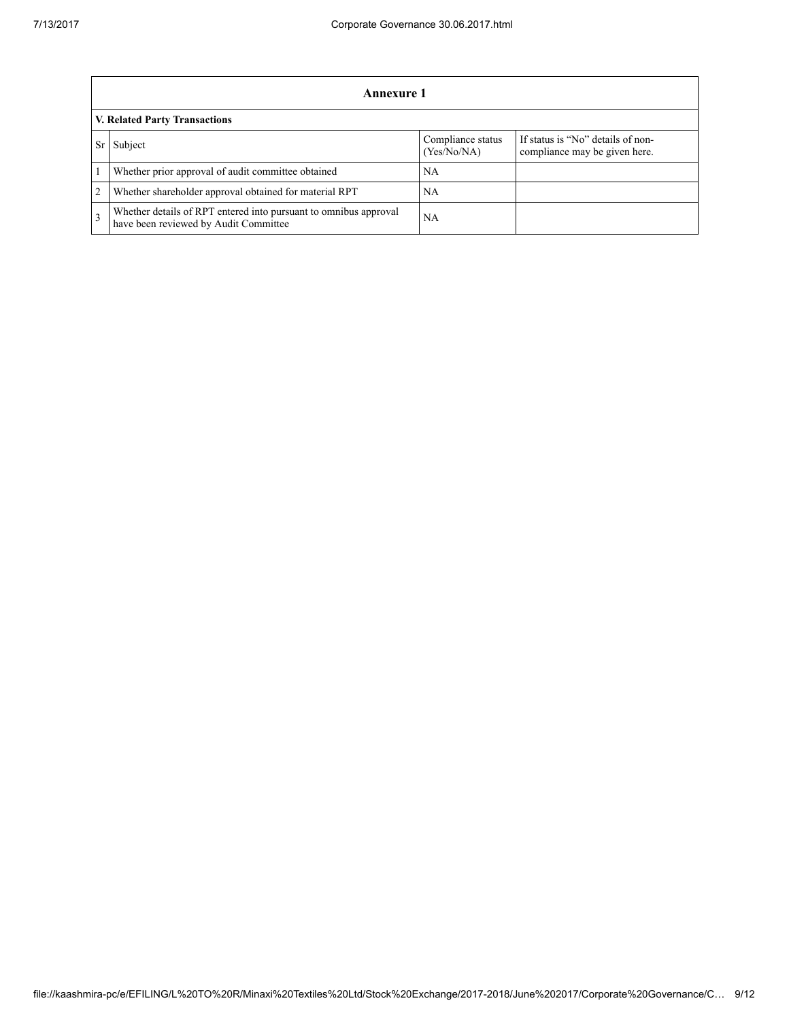|                | Annexure 1                                                                                                |                                  |                                                                    |  |  |  |  |
|----------------|-----------------------------------------------------------------------------------------------------------|----------------------------------|--------------------------------------------------------------------|--|--|--|--|
|                | V. Related Party Transactions                                                                             |                                  |                                                                    |  |  |  |  |
|                | Subject                                                                                                   | Compliance status<br>(Yes/No/NA) | If status is "No" details of non-<br>compliance may be given here. |  |  |  |  |
|                | Whether prior approval of audit committee obtained                                                        | NA                               |                                                                    |  |  |  |  |
| $\overline{2}$ | Whether shareholder approval obtained for material RPT                                                    | NA.                              |                                                                    |  |  |  |  |
| $\mathcal{F}$  | Whether details of RPT entered into pursuant to omnibus approval<br>have been reviewed by Audit Committee | NА                               |                                                                    |  |  |  |  |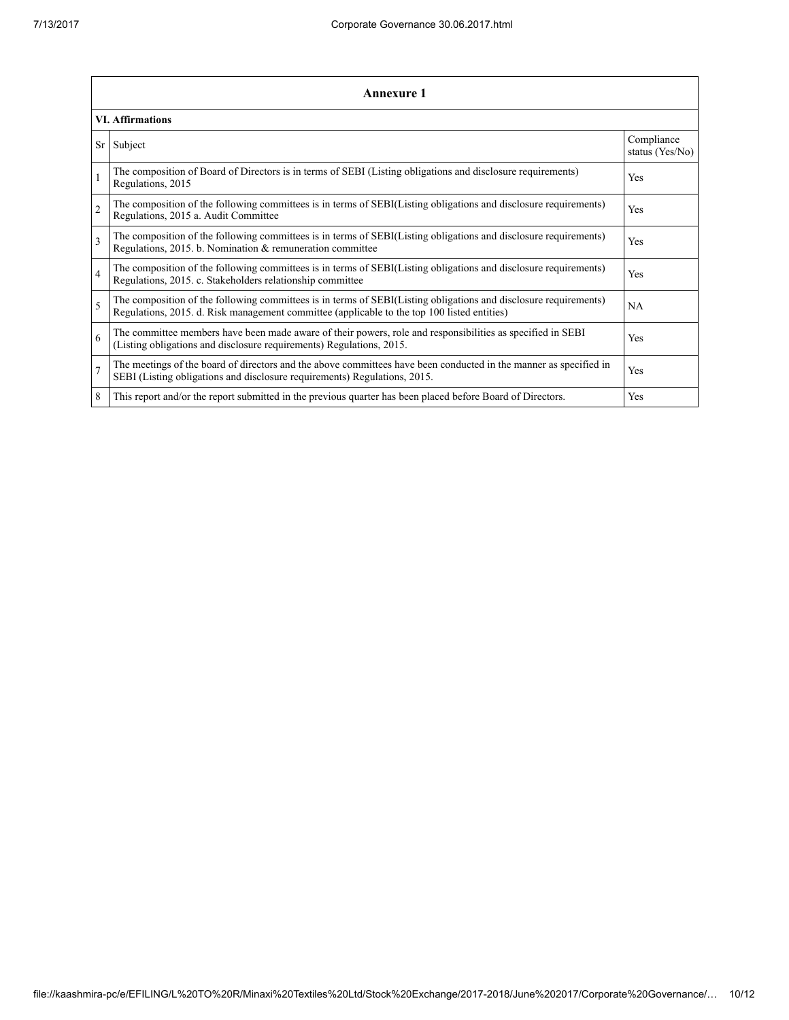|                | <b>Annexure 1</b>                                                                                                                                                                                               |                               |  |  |  |  |  |
|----------------|-----------------------------------------------------------------------------------------------------------------------------------------------------------------------------------------------------------------|-------------------------------|--|--|--|--|--|
|                | <b>VI. Affirmations</b>                                                                                                                                                                                         |                               |  |  |  |  |  |
| Sr             | Subject                                                                                                                                                                                                         | Compliance<br>status (Yes/No) |  |  |  |  |  |
|                | The composition of Board of Directors is in terms of SEBI (Listing obligations and disclosure requirements)<br>Regulations, 2015                                                                                | <b>Yes</b>                    |  |  |  |  |  |
| $\overline{c}$ | The composition of the following committees is in terms of SEBI(Listing obligations and disclosure requirements)<br>Regulations, 2015 a. Audit Committee                                                        | <b>Yes</b>                    |  |  |  |  |  |
| 3              | The composition of the following committees is in terms of SEBI(Listing obligations and disclosure requirements)<br>Regulations, 2015. b. Nomination & remuneration committee                                   | <b>Yes</b>                    |  |  |  |  |  |
| $\overline{4}$ | The composition of the following committees is in terms of SEBI(Listing obligations and disclosure requirements)<br>Regulations, 2015. c. Stakeholders relationship committee                                   | <b>Yes</b>                    |  |  |  |  |  |
| 5              | The composition of the following committees is in terms of SEBI(Listing obligations and disclosure requirements)<br>Regulations, 2015. d. Risk management committee (applicable to the top 100 listed entities) | <b>NA</b>                     |  |  |  |  |  |
| 6              | The committee members have been made aware of their powers, role and responsibilities as specified in SEBI<br>(Listing obligations and disclosure requirements) Regulations, 2015.                              | <b>Yes</b>                    |  |  |  |  |  |
| $\overline{7}$ | The meetings of the board of directors and the above committees have been conducted in the manner as specified in<br>SEBI (Listing obligations and disclosure requirements) Regulations, 2015.                  | Yes                           |  |  |  |  |  |
| 8              | This report and/or the report submitted in the previous quarter has been placed before Board of Directors.                                                                                                      | Yes                           |  |  |  |  |  |